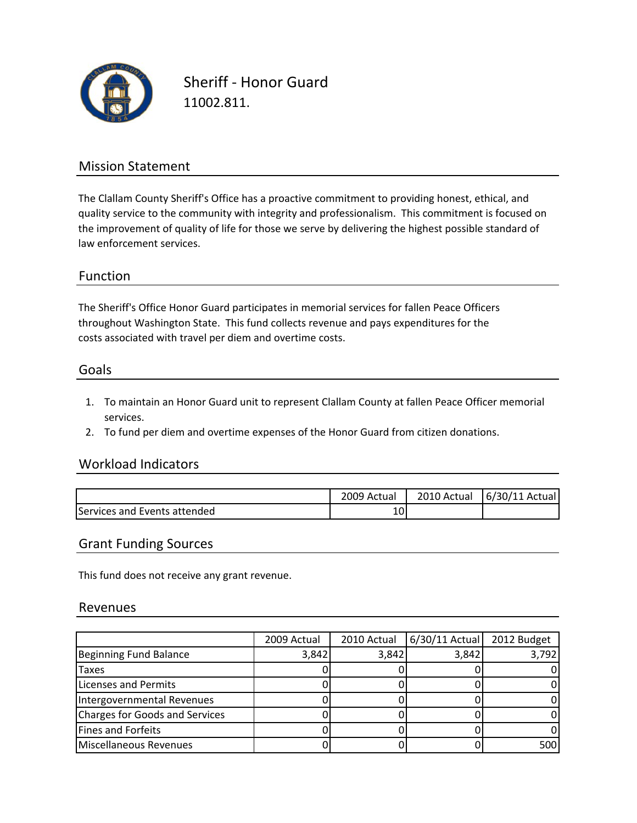

Sheriff ‐ Honor Guard 11002.811.

## Mission Statement

The Clallam County Sheriff's Office has a proactive commitment to providing honest, ethical, and quality service to the community with integrity and professionalism. This commitment is focused on the improvement of quality of life for those we serve by delivering the highest possible standard of law enforcement services.

### Function

The Sheriff's Office Honor Guard participates in memorial services for fallen Peace Officers costs associated with travel per diem and overtime costs. throughout Washington State. This fund collects revenue and pays expenditures for the

#### Goals

- 1. To maintain an Honor Guard unit to represent Clallam County at fallen Peace Officer memorial services.
- 2. To fund per diem and overtime expenses of the Honor Guard from citizen donations.

### Workload Indicators

|                              | 2009 Actual      | 2010 Actual | 6/30/11 Actual |
|------------------------------|------------------|-------------|----------------|
| Services and Events attended | $\sqrt{ }$<br>⊥∪ |             |                |

#### Grant Funding Sources

This fund does not receive any grant revenue.

#### Revenues

|                                | 2009 Actual | 2010 Actual | $6/30/11$ Actual | 2012 Budget |
|--------------------------------|-------------|-------------|------------------|-------------|
| Beginning Fund Balance         | 3,842       | 3,842       | 3,842            | 3,792       |
| <b>Taxes</b>                   |             |             |                  |             |
| Licenses and Permits           |             |             |                  |             |
| Intergovernmental Revenues     |             |             |                  |             |
| Charges for Goods and Services |             |             |                  |             |
| Fines and Forfeits             |             |             |                  |             |
| Miscellaneous Revenues         |             |             |                  | 500         |